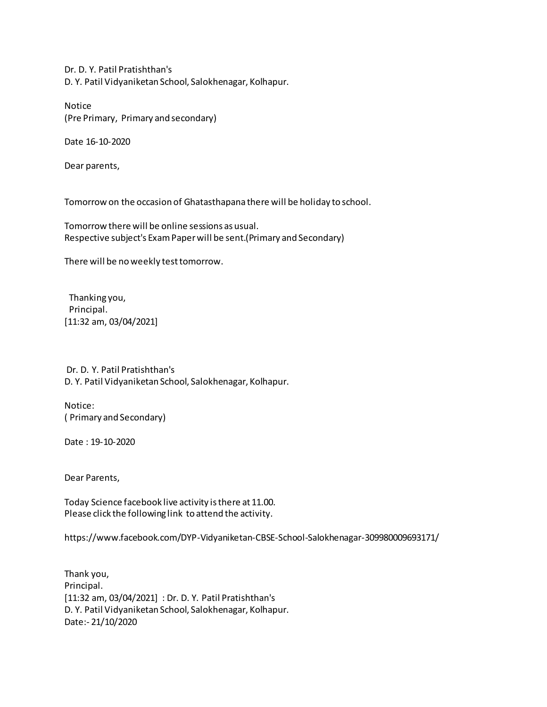Dr. D. Y. Patil Pratishthan's D. Y. Patil Vidyaniketan School, Salokhenagar, Kolhapur.

Notice (Pre Primary, Primary and secondary)

Date 16-10-2020

Dear parents,

Tomorrow on the occasion of Ghatasthapana there will be holiday to school.

Tomorrow there will be online sessions as usual. Respective subject's Exam Paper will be sent.(Primary and Secondary)

There will be no weekly test tomorrow.

 Thanking you, Principal. [11:32 am, 03/04/2021]

 Dr. D. Y. Patil Pratishthan's D. Y. Patil Vidyaniketan School, Salokhenagar, Kolhapur.

Notice: ( Primary and Secondary)

Date : 19-10-2020

Dear Parents,

Today Science facebook live activity is there at 11.00. Please click the following link to attend the activity.

https://www.facebook.com/DYP-Vidyaniketan-CBSE-School-Salokhenagar-309980009693171/

Thank you, Principal. [11:32 am, 03/04/2021] : Dr. D. Y. Patil Pratishthan's D. Y. Patil Vidyaniketan School, Salokhenagar, Kolhapur. Date:- 21/10/2020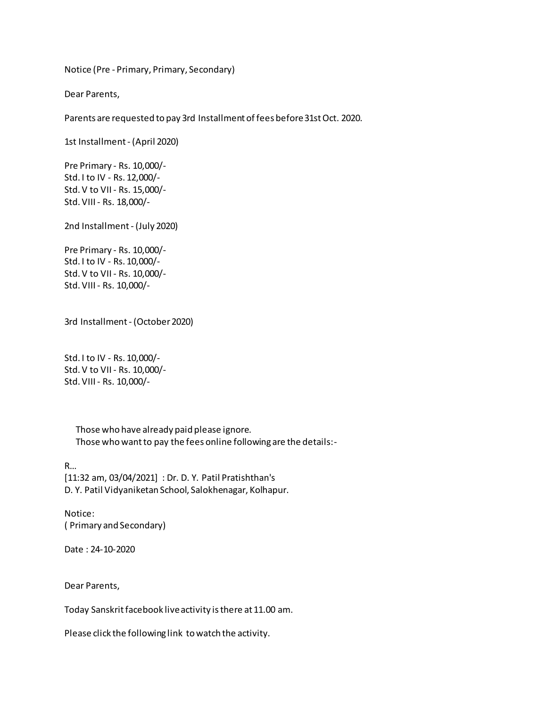Notice (Pre - Primary, Primary, Secondary)

Dear Parents,

Parents are requested to pay 3rd Installment of fees before 31st Oct. 2020.

1st Installment - (April 2020)

Pre Primary - Rs. 10,000/- Std. I to IV - Rs. 12,000/- Std. V to VII - Rs. 15,000/- Std. VIII - Rs. 18,000/-

2nd Installment - (July 2020)

Pre Primary - Rs. 10,000/- Std. I to IV - Rs. 10,000/- Std. V to VII - Rs. 10,000/- Std. VIII - Rs. 10,000/-

3rd Installment - (October 2020)

Std. I to IV - Rs. 10,000/- Std. V to VII - Rs. 10,000/- Std. VIII - Rs. 10,000/-

> Those who have already paid please ignore. Those who want to pay the fees online following are the details:-

R… [11:32 am, 03/04/2021] : Dr. D. Y. Patil Pratishthan's D. Y. Patil Vidyaniketan School, Salokhenagar, Kolhapur.

Notice: ( Primary and Secondary)

Date : 24-10-2020

Dear Parents,

Today Sanskrit facebook live activity is there at 11.00 am.

Please click the following link to watch the activity.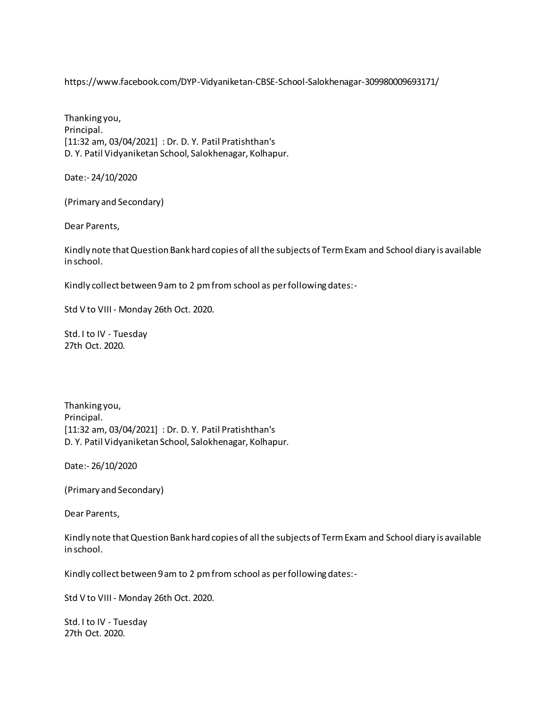https://www.facebook.com/DYP-Vidyaniketan-CBSE-School-Salokhenagar-309980009693171/

Thanking you, Principal. [11:32 am, 03/04/2021] : Dr. D. Y. Patil Pratishthan's D. Y. Patil Vidyaniketan School, Salokhenagar, Kolhapur.

Date:- 24/10/2020

(Primary and Secondary)

Dear Parents,

Kindly note that Question Bank hard copies of all the subjects of Term Exam and School diary is available in school.

Kindly collect between 9 am to 2 pm from school as per following dates:-

Std V to VIII - Monday 26th Oct. 2020.

Std. I to IV - Tuesday 27th Oct. 2020.

Thanking you, Principal. [11:32 am, 03/04/2021] : Dr. D. Y. Patil Pratishthan's D. Y. Patil Vidyaniketan School, Salokhenagar, Kolhapur.

Date:- 26/10/2020

(Primary and Secondary)

Dear Parents,

Kindly note that Question Bank hard copies of all the subjects of Term Exam and School diary is available in school.

Kindly collect between 9 am to 2 pm from school as per following dates:-

Std V to VIII - Monday 26th Oct. 2020.

Std. I to IV - Tuesday 27th Oct. 2020.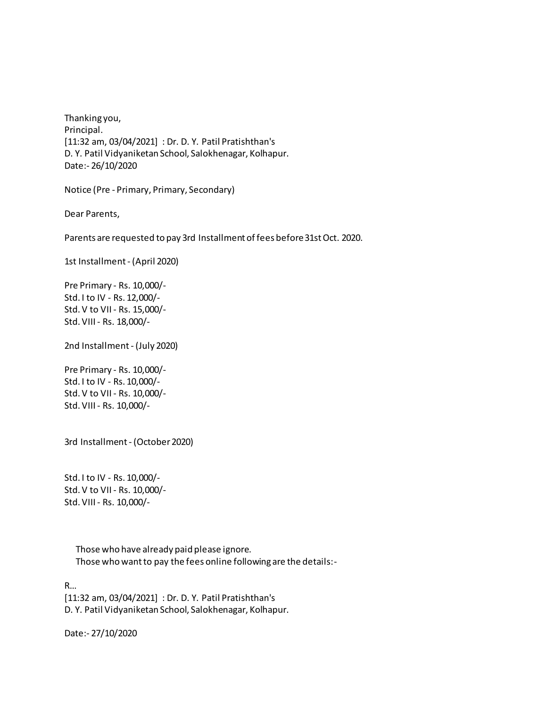Thanking you, Principal. [11:32 am, 03/04/2021] : Dr. D. Y. Patil Pratishthan's D. Y. Patil Vidyaniketan School, Salokhenagar, Kolhapur. Date:- 26/10/2020

Notice (Pre - Primary, Primary, Secondary)

Dear Parents,

Parents are requested to pay 3rd Installment of fees before 31st Oct. 2020.

1st Installment - (April 2020)

Pre Primary - Rs. 10,000/- Std. I to IV - Rs. 12,000/- Std. V to VII - Rs. 15,000/- Std. VIII - Rs. 18,000/-

2nd Installment - (July 2020)

Pre Primary - Rs. 10,000/- Std. I to IV - Rs. 10,000/- Std. V to VII - Rs. 10,000/- Std. VIII - Rs. 10,000/-

3rd Installment - (October 2020)

Std. I to IV - Rs. 10,000/- Std. V to VII - Rs. 10,000/- Std. VIII - Rs. 10,000/-

> Those who have already paid please ignore. Those who want to pay the fees online following are the details:-

R…

[11:32 am, 03/04/2021] : Dr. D. Y. Patil Pratishthan's D. Y. Patil Vidyaniketan School, Salokhenagar, Kolhapur.

Date:- 27/10/2020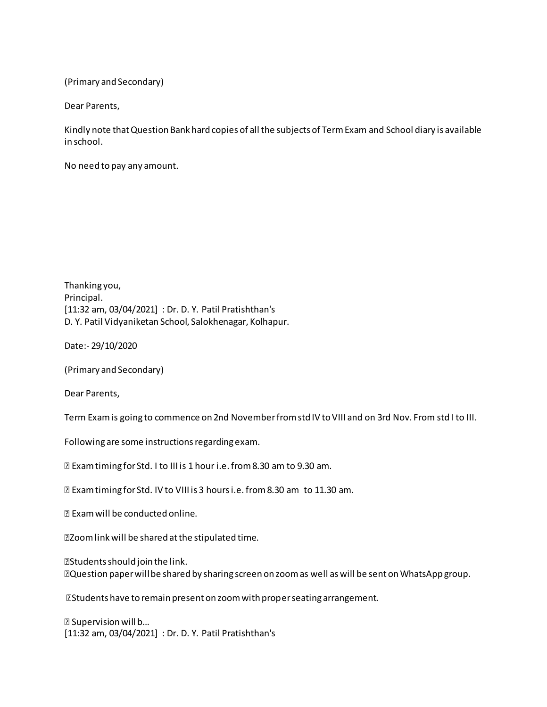(Primary and Secondary)

Dear Parents,

Kindly note that Question Bank hard copies of all the subjects of Term Exam and School diary is available in school.

No need to pay any amount.

Thanking you, Principal. [11:32 am, 03/04/2021] : Dr. D. Y. Patil Pratishthan's D. Y. Patil Vidyaniketan School, Salokhenagar, Kolhapur.

Date:- 29/10/2020

(Primary and Secondary)

Dear Parents,

Term Exam is going to commence on 2nd November from std IV to VIII and on 3rd Nov. From std I to III.

Following are some instructions regarding exam.

Exam timing for Std. I to III is 1 hour i.e. from 8.30 am to 9.30 am.

Exam timing for Std. IV to VIII is 3 hours i.e. from 8.30 am to 11.30 am.

Exam will be conducted online.

Zoom link will be shared at the stipulated time.

Students should join the link. Question paper will be shared by sharing screen on zoom as well as will be sent on WhatsApp group.

Students have to remain present on zoom with proper seating arrangement.

 Supervision will b… [11:32 am, 03/04/2021] : Dr. D. Y. Patil Pratishthan's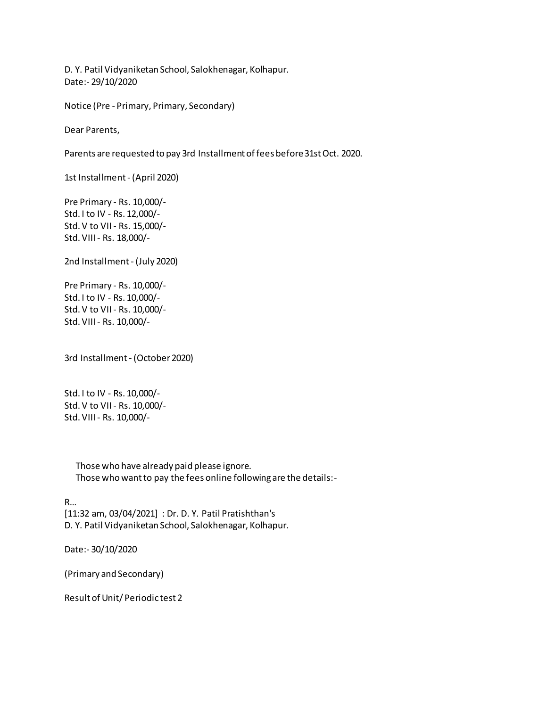D. Y. Patil Vidyaniketan School, Salokhenagar, Kolhapur. Date:- 29/10/2020

Notice (Pre - Primary, Primary, Secondary)

Dear Parents,

Parents are requested to pay 3rd Installment of fees before 31st Oct. 2020.

1st Installment - (April 2020)

Pre Primary - Rs. 10,000/- Std. I to IV - Rs. 12,000/- Std. V to VII - Rs. 15,000/- Std. VIII - Rs. 18,000/-

2nd Installment - (July 2020)

Pre Primary - Rs. 10,000/- Std. I to IV - Rs. 10,000/- Std. V to VII - Rs. 10,000/- Std. VIII - Rs. 10,000/-

3rd Installment - (October 2020)

Std. I to IV - Rs. 10,000/- Std. V to VII - Rs. 10,000/- Std. VIII - Rs. 10,000/-

> Those who have already paid please ignore. Those who want to pay the fees online following are the details:-

R… [11:32 am, 03/04/2021] : Dr. D. Y. Patil Pratishthan's D. Y. Patil Vidyaniketan School, Salokhenagar, Kolhapur.

Date:- 30/10/2020

(Primary and Secondary)

Result of Unit/ Periodic test 2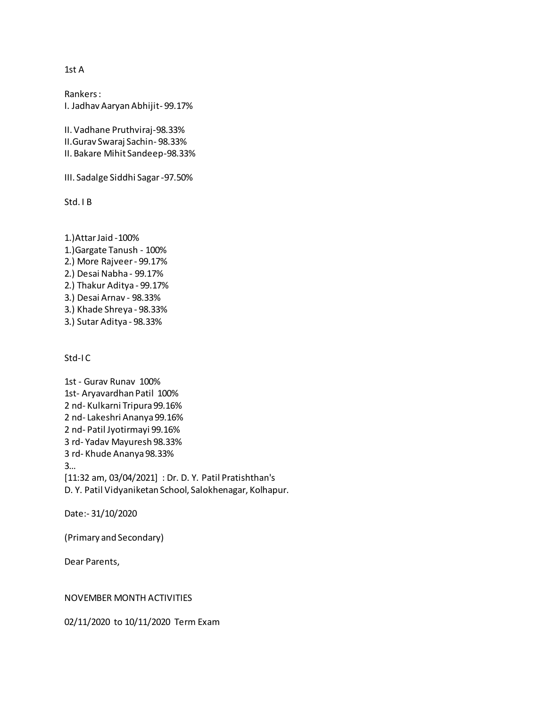## 1st A

Rankers : I. Jadhav Aaryan Abhijit- 99.17%

II. Vadhane Pruthviraj-98.33% II.Gurav Swaraj Sachin- 98.33% II. Bakare Mihit Sandeep-98.33%

III. Sadalge Siddhi Sagar -97.50%

Std. I B

1.)Attar Jaid -100% 1.)Gargate Tanush - 100% 2.) More Rajveer - 99.17% 2.) Desai Nabha - 99.17% 2.) Thakur Aditya - 99.17% 3.) Desai Arnav - 98.33% 3.) Khade Shreya - 98.33% 3.) Sutar Aditya - 98.33%

Std-I C

1st - Gurav Runav 100% 1st- Aryavardhan Patil 100% 2 nd- Kulkarni Tripura 99.16% 2 nd- Lakeshri Ananya 99.16% 2 nd- Patil Jyotirmayi 99.16% 3 rd- Yadav Mayuresh 98.33% 3 rd- Khude Ananya 98.33% 3… [11:32 am, 03/04/2021] : Dr. D. Y. Patil Pratishthan's D. Y. Patil Vidyaniketan School, Salokhenagar, Kolhapur.

Date:- 31/10/2020

(Primary and Secondary)

Dear Parents,

## NOVEMBER MONTH ACTIVITIES

02/11/2020 to 10/11/2020 Term Exam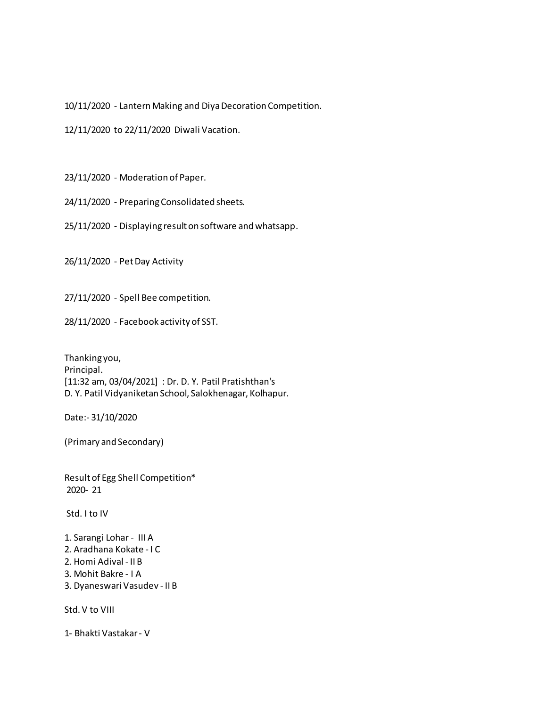10/11/2020 - Lantern Making and Diya Decoration Competition.

12/11/2020 to 22/11/2020 Diwali Vacation.

23/11/2020 - Moderation of Paper.

24/11/2020 - Preparing Consolidated sheets.

25/11/2020 - Displaying result on software and whatsapp.

26/11/2020 - Pet Day Activity

27/11/2020 - Spell Bee competition.

28/11/2020 - Facebook activity of SST.

Thanking you, Principal. [11:32 am, 03/04/2021] : Dr. D. Y. Patil Pratishthan's D. Y. Patil Vidyaniketan School, Salokhenagar, Kolhapur.

Date:- 31/10/2020

(Primary and Secondary)

Result of Egg Shell Competition\* 2020- 21

Std. I to IV

- 1. Sarangi Lohar III A
- 2. Aradhana Kokate I C
- 2. Homi Adival II B
- 3. Mohit Bakre I A
- 3. Dyaneswari Vasudev II B

Std. V to VIII

1- Bhakti Vastakar - V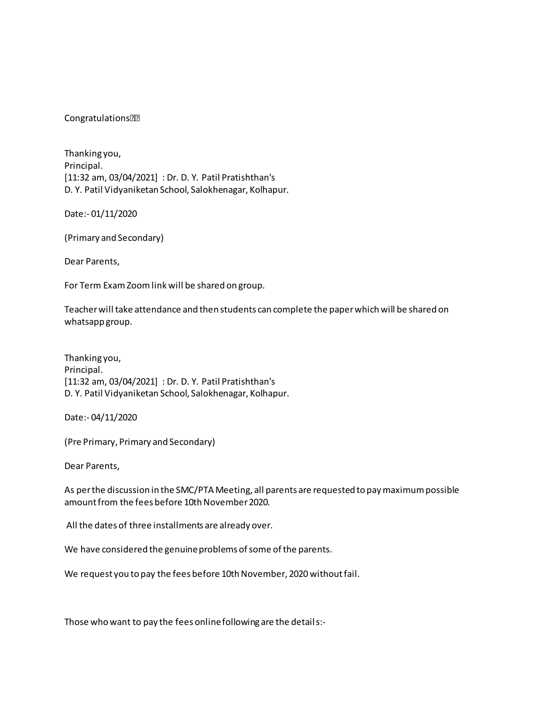**Congratulations<sup>[7]</sup>** 

Thanking you, Principal. [11:32 am, 03/04/2021] : Dr. D. Y. Patil Pratishthan's D. Y. Patil Vidyaniketan School, Salokhenagar, Kolhapur.

Date:- 01/11/2020

(Primary and Secondary)

Dear Parents,

For Term Exam Zoom link will be shared on group.

Teacher will take attendance and then students can complete the paper which will be shared on whatsapp group.

Thanking you, Principal. [11:32 am, 03/04/2021] : Dr. D. Y. Patil Pratishthan's D. Y. Patil Vidyaniketan School, Salokhenagar, Kolhapur.

Date:- 04/11/2020

(Pre Primary, Primary and Secondary)

Dear Parents,

As per the discussion in the SMC/PTA Meeting, all parents are requested to pay maximum possible amount from the fees before 10th November 2020.

All the dates of three installments are already over.

We have considered the genuine problems of some of the parents.

We request you to pay the fees before 10th November, 2020 without fail.

Those who want to pay the fees online following are the details:-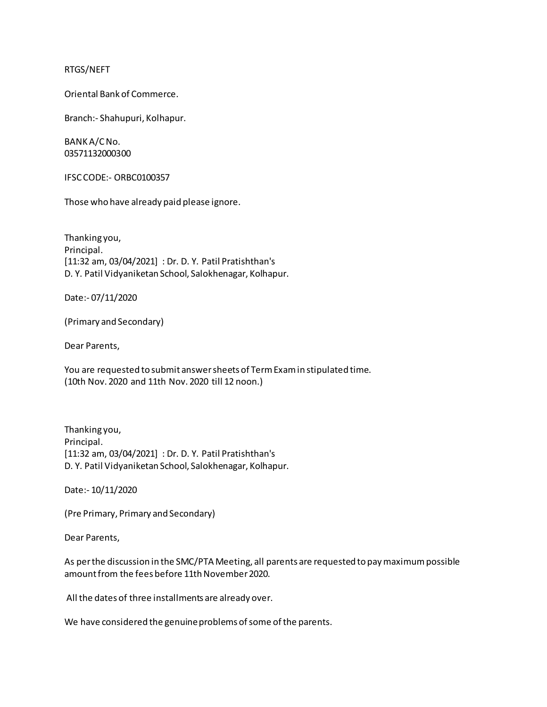## RTGS/NEFT

Oriental Bank of Commerce.

Branch:- Shahupuri, Kolhapur.

BANK A/C No. 03571132000300

IFSC CODE:- ORBC0100357

Those who have already paid please ignore.

Thanking you, Principal. [11:32 am, 03/04/2021] : Dr. D. Y. Patil Pratishthan's D. Y. Patil Vidyaniketan School, Salokhenagar, Kolhapur.

Date:- 07/11/2020

(Primary and Secondary)

Dear Parents,

You are requested to submit answer sheets of Term Exam in stipulated time. (10th Nov. 2020 and 11th Nov. 2020 till 12 noon.)

Thanking you, Principal. [11:32 am, 03/04/2021] : Dr. D. Y. Patil Pratishthan's D. Y. Patil Vidyaniketan School, Salokhenagar, Kolhapur.

Date:- 10/11/2020

(Pre Primary, Primary and Secondary)

Dear Parents,

As per the discussion in the SMC/PTA Meeting, all parents are requested to pay maximum possible amount from the fees before 11th November 2020.

All the dates of three installments are already over.

We have considered the genuine problems of some of the parents.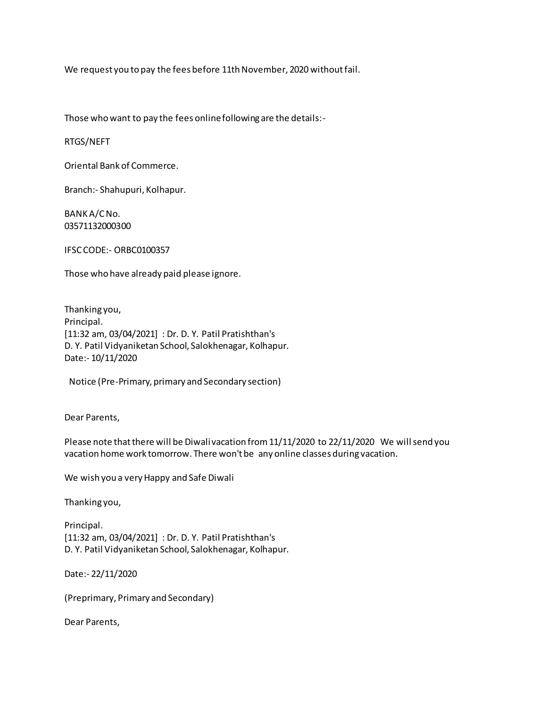We request you to pay the fees before 11th November, 2020 without fail.

Those who want to pay the fees online following are the details:-

RTGS/NEFT

Oriental Bank of Commerce.

Branch:- Shahupuri, Kolhapur.

BANK A/C No. 03571132000300

IFSC CODE:- ORBC0100357

Those who have already paid please ignore.

Thanking you, Principal. [11:32 am, 03/04/2021] : Dr. D. Y. Patil Pratishthan's D. Y. Patil Vidyaniketan School, Salokhenagar, Kolhapur. Date:- 10/11/2020

Notice (Pre-Primary, primary and Secondary section)

Dear Parents,

Please note that there will be Diwali vacation from 11/11/2020 to 22/11/2020 We will send you vacation home work tomorrow. There won't be any online classes during vacation.

We wish you a very Happy and Safe Diwali

Thanking you,

Principal. [11:32 am, 03/04/2021] : Dr. D. Y. Patil Pratishthan's D. Y. Patil Vidyaniketan School, Salokhenagar, Kolhapur.

Date:- 22/11/2020

(Preprimary, Primary and Secondary)

Dear Parents,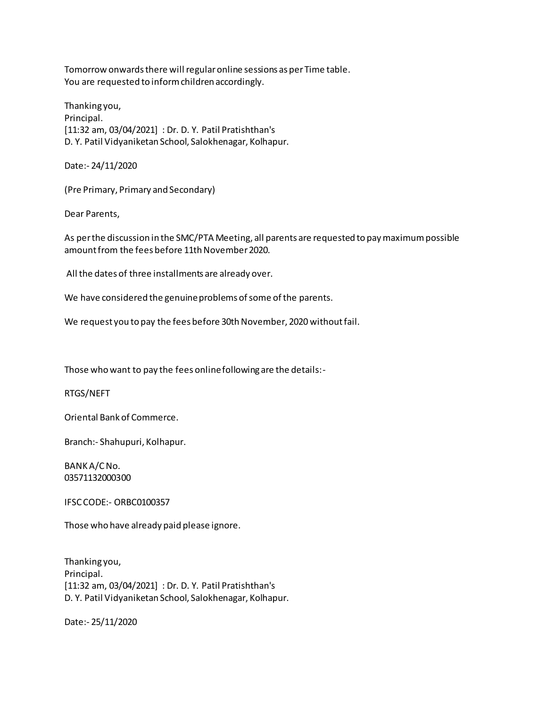Tomorrow onwards there will regular online sessions as per Time table. You are requested to inform children accordingly.

Thanking you, Principal. [11:32 am, 03/04/2021] : Dr. D. Y. Patil Pratishthan's D. Y. Patil Vidyaniketan School, Salokhenagar, Kolhapur.

Date:- 24/11/2020

(Pre Primary, Primary and Secondary)

Dear Parents,

As per the discussion in the SMC/PTA Meeting, all parents are requested to pay maximum possible amount from the fees before 11th November 2020.

All the dates of three installments are already over.

We have considered the genuine problems of some of the parents.

We request you to pay the fees before 30th November, 2020 without fail.

Those who want to pay the fees online following are the details:-

RTGS/NEFT

Oriental Bank of Commerce.

Branch:- Shahupuri, Kolhapur.

BANK A/C No. 03571132000300

IFSC CODE:- ORBC0100357

Those who have already paid please ignore.

Thanking you, Principal. [11:32 am, 03/04/2021] : Dr. D. Y. Patil Pratishthan's D. Y. Patil Vidyaniketan School, Salokhenagar, Kolhapur.

Date:- 25/11/2020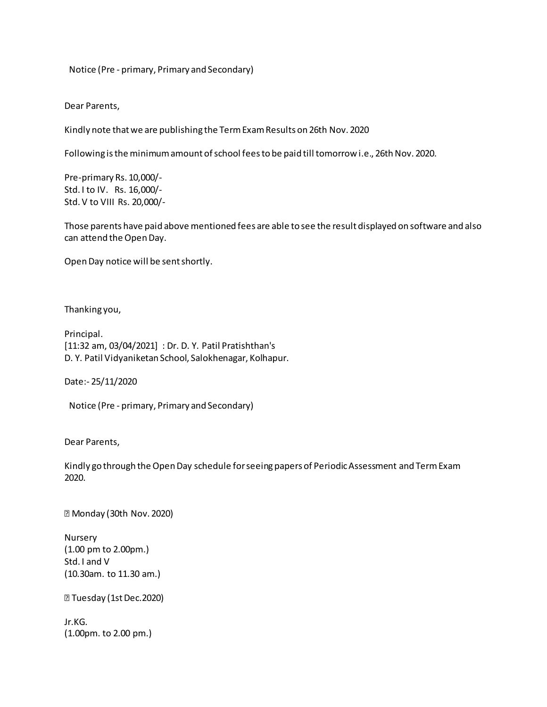Notice (Pre - primary, Primary and Secondary)

Dear Parents,

Kindly note that we are publishing the Term Exam Results on 26th Nov. 2020

Following is the minimum amount of school fees to be paid till tomorrow i.e., 26th Nov. 2020.

Pre-primary Rs. 10,000/- Std. I to IV. Rs. 16,000/- Std. V to VIII Rs. 20,000/-

Those parents have paid above mentioned fees are able to see the result displayed on software and also can attend the Open Day.

Open Day notice will be sent shortly.

Thanking you,

Principal. [11:32 am, 03/04/2021] : Dr. D. Y. Patil Pratishthan's D. Y. Patil Vidyaniketan School, Salokhenagar, Kolhapur.

Date:- 25/11/2020

Notice (Pre - primary, Primary and Secondary)

Dear Parents,

Kindly go through the Open Day schedule for seeing papers of Periodic Assessment and Term Exam 2020.

Monday (30th Nov. 2020)

Nursery (1.00 pm to 2.00pm.) Std. I and V (10.30am. to 11.30 am.)

Tuesday (1st Dec.2020)

Jr.KG. (1.00pm. to 2.00 pm.)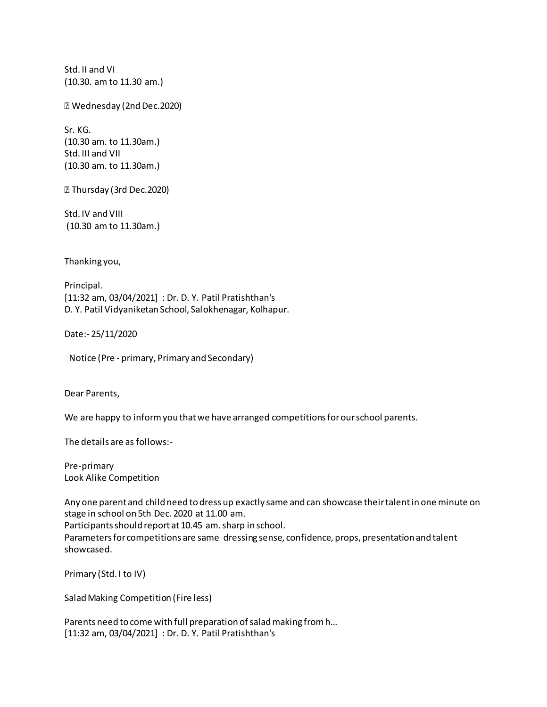Std. II and VI (10.30. am to 11.30 am.)

Wednesday (2nd Dec.2020)

Sr. KG. (10.30 am. to 11.30am.) Std. III and VII (10.30 am. to 11.30am.)

Thursday (3rd Dec.2020)

Std. IV and VIII (10.30 am to 11.30am.)

Thanking you,

Principal. [11:32 am, 03/04/2021] : Dr. D. Y. Patil Pratishthan's D. Y. Patil Vidyaniketan School, Salokhenagar, Kolhapur.

Date:- 25/11/2020

Notice (Pre - primary, Primary and Secondary)

Dear Parents,

We are happy to inform you that we have arranged competitions for our school parents.

The details are as follows:-

Pre-primary Look Alike Competition

Any one parent and child need to dress up exactly same and can showcase their talent in one minute on stage in school on 5th Dec. 2020 at 11.00 am.

Participants should report at 10.45 am. sharp in school.

Parameters for competitions are same dressing sense, confidence, props, presentation and talent showcased.

Primary (Std. I to IV)

Salad Making Competition (Fire less)

Parents need to come with full preparation of salad making from h… [11:32 am, 03/04/2021] : Dr. D. Y. Patil Pratishthan's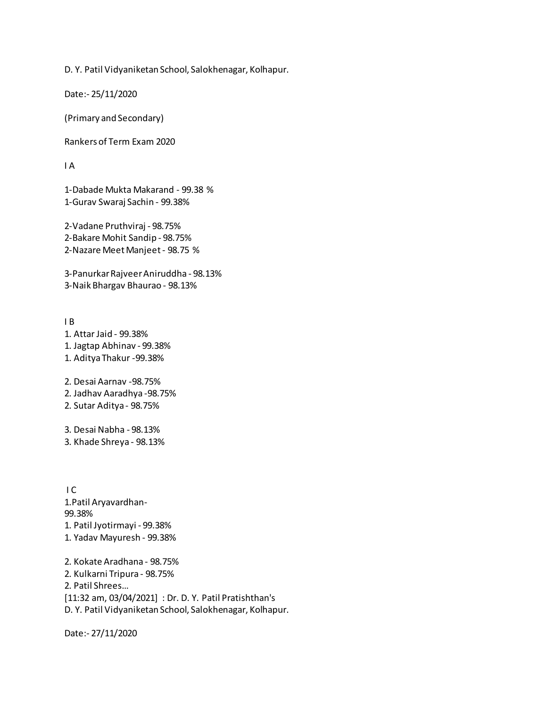D. Y. Patil Vidyaniketan School, Salokhenagar, Kolhapur.

Date:- 25/11/2020

(Primary and Secondary)

Rankers of Term Exam 2020

I A

1-Dabade Mukta Makarand - 99.38 % 1-Gurav Swaraj Sachin - 99.38%

2-Vadane Pruthviraj - 98.75% 2-Bakare Mohit Sandip - 98.75% 2-Nazare Meet Manjeet - 98.75 %

3-Panurkar Rajveer Aniruddha - 98.13% 3-Naik Bhargav Bhaurao - 98.13%

I B 1. Attar Jaid - 99.38% 1. Jagtap Abhinav - 99.38% 1. Aditya Thakur -99.38% 2. Desai Aarnav -98.75%

2. Jadhav Aaradhya -98.75%

2. Sutar Aditya - 98.75%

3. Desai Nabha - 98.13% 3. Khade Shreya - 98.13%

 I C 1.Patil Aryavardhan-99.38% 1. Patil Jyotirmayi - 99.38% 1. Yadav Mayuresh - 99.38%

2. Kokate Aradhana - 98.75% 2. Kulkarni Tripura - 98.75% 2. Patil Shrees… [11:32 am, 03/04/2021] : Dr. D. Y. Patil Pratishthan's D. Y. Patil Vidyaniketan School, Salokhenagar, Kolhapur.

Date:- 27/11/2020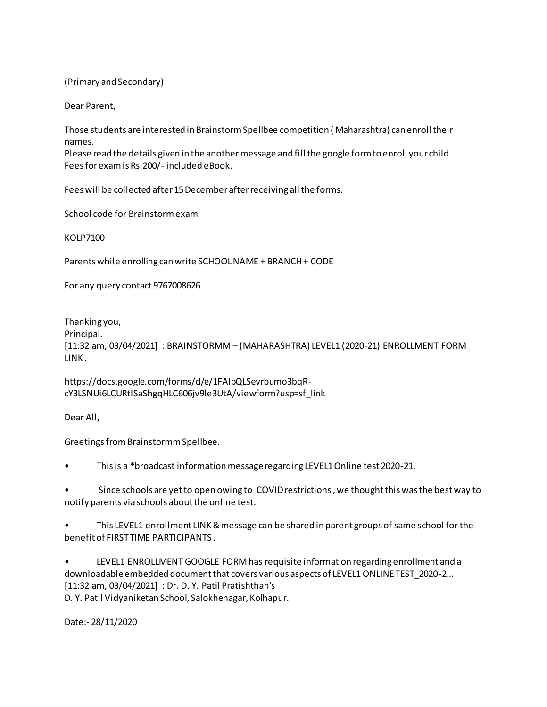(Primary and Secondary)

Dear Parent,

Those students are interested in Brainstorm Spellbee competition ( Maharashtra) can enroll their names.

Please read the details given in the another message and fill the google form to enroll your child. Fees for exam is Rs.200/- included eBook.

Fees will be collected after 15 December after receiving all the forms.

School code for Brainstorm exam

KOLP7100

Parents while enrolling can write SCHOOL NAME + BRANCH + CODE

For any query contact 9767008626

Thanking you,

Principal.

[11:32 am, 03/04/2021] : BRAINSTORMM – (MAHARASHTRA) LEVEL1 (2020-21) ENROLLMENT FORM LINK .

https://docs.google.com/forms/d/e/1FAIpQLSevrbumo3bqRcY3LSNUi6LCURtlSaShgqHLC606jv9le3UtA/viewform?usp=sf\_link

Dear All,

Greetings from Brainstormm Spellbee.

• This is a \*broadcast information message regarding LEVEL1 Online test 2020-21.

• Since schools are yet to open owing to COVID restrictions , we thought this was the best way to notify parents via schools about the online test.

• This LEVEL1 enrollment LINK & message can be shared in parent groups of same school for the benefit of FIRST TIME PARTICIPANTS .

• LEVEL1 ENROLLMENT GOOGLE FORM has requisite information regarding enrollment and a downloadable embedded document that covers various aspects of LEVEL1 ONLINE TEST\_2020-2… [11:32 am, 03/04/2021] : Dr. D. Y. Patil Pratishthan's

D. Y. Patil Vidyaniketan School, Salokhenagar, Kolhapur.

Date:- 28/11/2020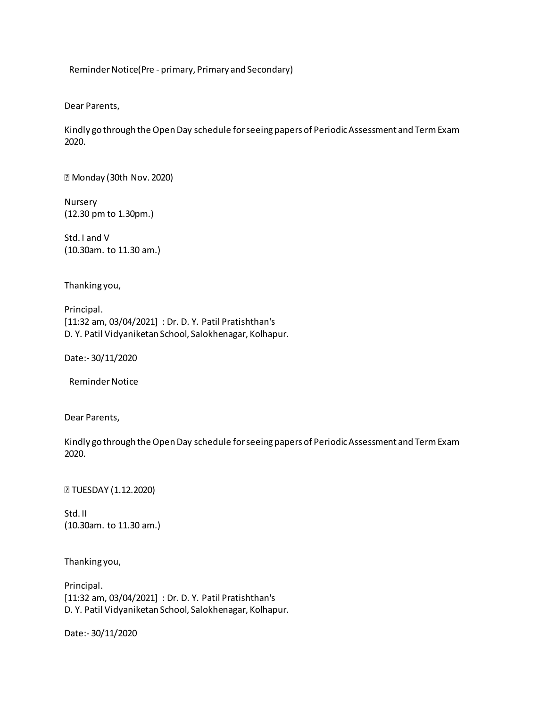Reminder Notice(Pre - primary, Primary and Secondary)

Dear Parents,

Kindly go through the Open Day schedule for seeing papers of Periodic Assessment and Term Exam 2020.

Monday (30th Nov. 2020)

Nursery (12.30 pm to 1.30pm.)

Std. I and V (10.30am. to 11.30 am.)

Thanking you,

Principal. [11:32 am, 03/04/2021] : Dr. D. Y. Patil Pratishthan's D. Y. Patil Vidyaniketan School, Salokhenagar, Kolhapur.

Date:- 30/11/2020

Reminder Notice

Dear Parents,

Kindly go through the Open Day schedule for seeing papers of Periodic Assessment and Term Exam 2020.

**TUESDAY (1.12.2020)** 

Std. II (10.30am. to 11.30 am.)

Thanking you,

Principal. [11:32 am, 03/04/2021] : Dr. D. Y. Patil Pratishthan's D. Y. Patil Vidyaniketan School, Salokhenagar, Kolhapur.

Date:- 30/11/2020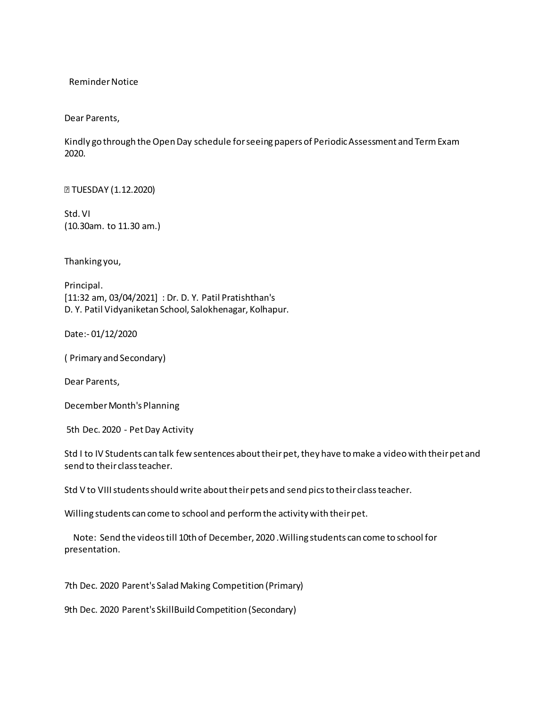Reminder Notice

Dear Parents,

Kindly go through the Open Day schedule for seeing papers of Periodic Assessment and Term Exam 2020.

**TUESDAY (1.12.2020)** 

Std. VI (10.30am. to 11.30 am.)

Thanking you,

Principal. [11:32 am, 03/04/2021] : Dr. D. Y. Patil Pratishthan's D. Y. Patil Vidyaniketan School, Salokhenagar, Kolhapur.

Date:- 01/12/2020

( Primary and Secondary)

Dear Parents,

December Month's Planning

5th Dec. 2020 - Pet Day Activity

Std I to IV Students can talk few sentences about their pet, they have to make a video with their pet and send to their class teacher.

Std V to VIII students should write about their pets and send pics to their class teacher.

Willing students can come to school and perform the activity with their pet.

 Note: Send the videos till 10th of December, 2020 .Willing students can come to school for presentation.

7th Dec. 2020 Parent's Salad Making Competition (Primary)

9th Dec. 2020 Parent's SkillBuild Competition (Secondary)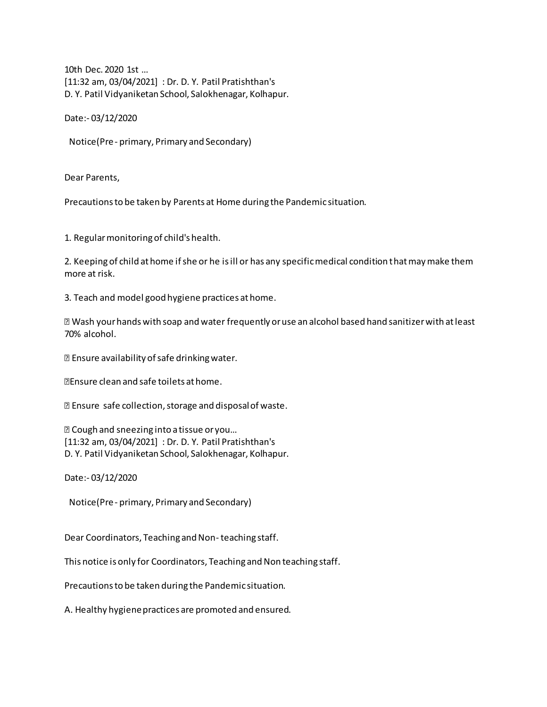10th Dec. 2020 1st … [11:32 am, 03/04/2021] : Dr. D. Y. Patil Pratishthan's D. Y. Patil Vidyaniketan School, Salokhenagar, Kolhapur.

Date:- 03/12/2020

Notice(Pre - primary, Primary and Secondary)

Dear Parents,

Precautions to be taken by Parents at Home during the Pandemic situation.

1. Regular monitoring of child's health.

2. Keeping of child at home if she or he is ill or has any specific medical condition that may make them more at risk.

3. Teach and model good hygiene practices at home.

 Wash your hands with soap and water frequently or use an alcohol based hand sanitizer with at least 70% alcohol.

Ensure availability of safe drinking water.

Ensure clean and safe toilets at home.

Ensure safe collection, storage and disposal of waste.

 Cough and sneezing into a tissue or you… [11:32 am, 03/04/2021] : Dr. D. Y. Patil Pratishthan's D. Y. Patil Vidyaniketan School, Salokhenagar, Kolhapur.

Date:- 03/12/2020

Notice(Pre - primary, Primary and Secondary)

Dear Coordinators, Teaching and Non- teaching staff.

This notice is only for Coordinators, Teaching and Non teaching staff.

Precautions to be taken during the Pandemic situation.

A. Healthy hygiene practices are promoted and ensured.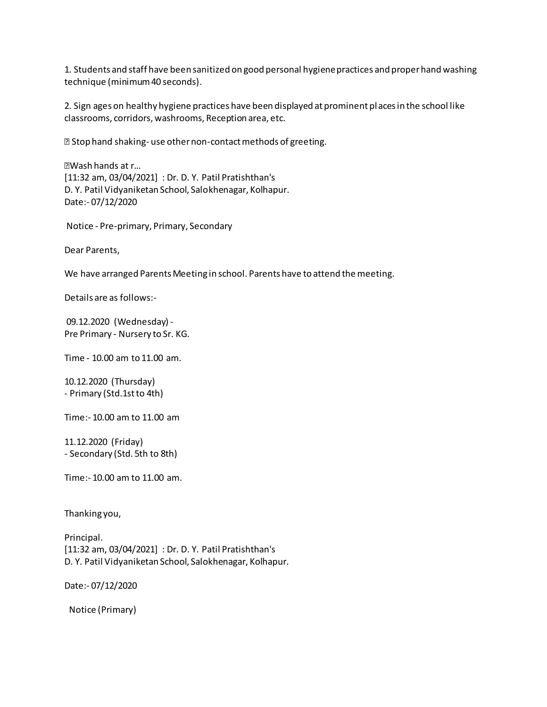1. Students and staff have been sanitized on good personal hygiene practices and proper hand washing technique (minimum 40 seconds).

2. Sign ages on healthy hygiene practices have been displayed at prominent pl aces in the school like classrooms, corridors, washrooms, Reception area, etc.

**E** Stop hand shaking-use other non-contact methods of greeting.

Wash hands at r… [11:32 am, 03/04/2021] : Dr. D. Y. Patil Pratishthan's D. Y. Patil Vidyaniketan School, Salokhenagar, Kolhapur. Date:- 07/12/2020

Notice - Pre-primary, Primary, Secondary

Dear Parents,

We have arranged Parents Meeting in school. Parents have to attend the meeting.

Details are as follows:-

 09.12.2020 (Wednesday) - Pre Primary - Nursery to Sr. KG.

Time - 10.00 am to 11.00 am.

10.12.2020 (Thursday) - Primary (Std.1st to 4th)

Time:- 10.00 am to 11.00 am

11.12.2020 (Friday) - Secondary (Std. 5th to 8th)

Time:- 10.00 am to 11.00 am.

Thanking you,

Principal. [11:32 am, 03/04/2021] : Dr. D. Y. Patil Pratishthan's D. Y. Patil Vidyaniketan School, Salokhenagar, Kolhapur.

Date:- 07/12/2020

Notice (Primary)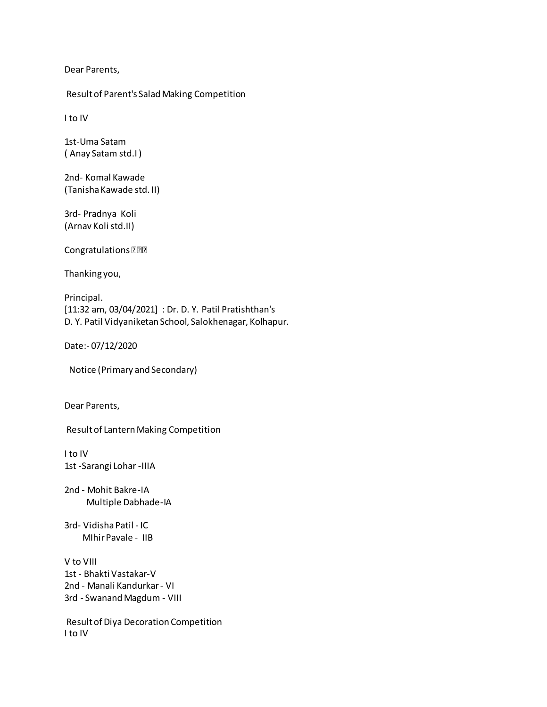Dear Parents,

Result of Parent's Salad Making Competition

I to IV

1st-Uma Satam ( Anay Satam std.I )

2nd- Komal Kawade (Tanisha Kawade std. II)

3rd- Pradnya Koli (Arnav Koli std.II)

Congratulations<sup>[201</sup>2]

Thanking you,

Principal. [11:32 am, 03/04/2021] : Dr. D. Y. Patil Pratishthan's D. Y. Patil Vidyaniketan School, Salokhenagar, Kolhapur.

Date:- 07/12/2020

Notice (Primary and Secondary)

Dear Parents,

Result of Lantern Making Competition

I to IV 1st -Sarangi Lohar -IIIA

2nd - Mohit Bakre-IA Multiple Dabhade-IA

3rd- Vidisha Patil - IC MIhir Pavale - IIB

V to VIII 1st - Bhakti Vastakar-V 2nd - Manali Kandurkar - VI 3rd - Swanand Magdum - VIII

 Result of Diya Decoration Competition I to IV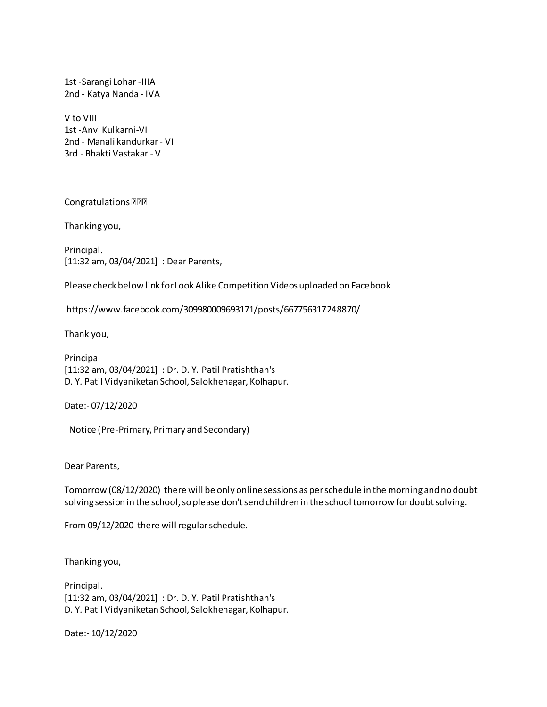1st -Sarangi Lohar -IIIA 2nd - Katya Nanda - IVA

V to VIII 1st -Anvi Kulkarni-VI 2nd - Manali kandurkar - VI 3rd - Bhakti Vastakar - V

Congratulations

Thanking you,

Principal. [11:32 am, 03/04/2021] : Dear Parents,

Please check below link for Look Alike Competition Videos uploaded on Facebook

https://www.facebook.com/309980009693171/posts/667756317248870/

Thank you,

Principal [11:32 am, 03/04/2021] : Dr. D. Y. Patil Pratishthan's D. Y. Patil Vidyaniketan School, Salokhenagar, Kolhapur.

Date:- 07/12/2020

Notice (Pre-Primary, Primary and Secondary)

Dear Parents,

Tomorrow (08/12/2020) there will be only online sessions as per schedule in the morning and no doubt solving session in the school, so please don't send children in the school tomorrow for doubt solving.

From 09/12/2020 there will regular schedule.

Thanking you,

Principal. [11:32 am, 03/04/2021] : Dr. D. Y. Patil Pratishthan's D. Y. Patil Vidyaniketan School, Salokhenagar, Kolhapur.

Date:- 10/12/2020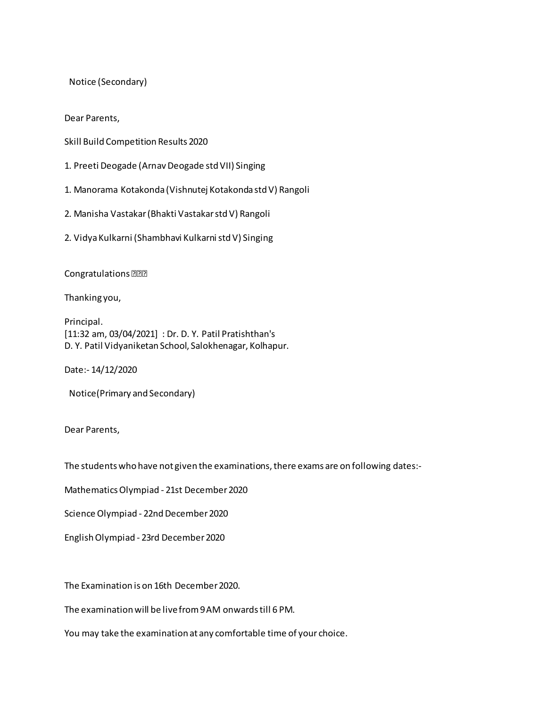Notice (Secondary)

Dear Parents,

- Skill Build Competition Results 2020
- 1. Preeti Deogade (Arnav Deogade std VII) Singing
- 1. Manorama Kotakonda (Vishnutej Kotakonda std V) Rangoli
- 2. Manisha Vastakar (Bhakti Vastakar std V) Rangoli
- 2. Vidya Kulkarni (Shambhavi Kulkarni std V) Singing

Congratulations

Thanking you,

Principal. [11:32 am, 03/04/2021] : Dr. D. Y. Patil Pratishthan's D. Y. Patil Vidyaniketan School, Salokhenagar, Kolhapur.

Date:- 14/12/2020

Notice(Primary and Secondary)

Dear Parents,

The students who have not given the examinations, there exams are on following dates:-

Mathematics Olympiad - 21st December 2020

Science Olympiad - 22nd December 2020

English Olympiad - 23rd December 2020

The Examination is on 16th December 2020.

The examination will be live from 9 AM onwards till 6 PM.

You may take the examination at any comfortable time of your choice.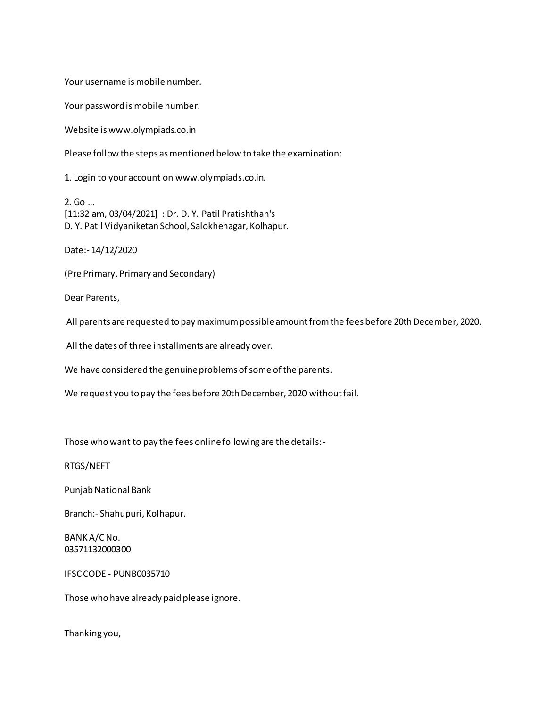Your username is mobile number.

Your password is mobile number.

Website is www.olympiads.co.in

Please follow the steps as mentioned below to take the examination:

1. Login to your account on www.olympiads.co.in.

2. Go … [11:32 am, 03/04/2021] : Dr. D. Y. Patil Pratishthan's D. Y. Patil Vidyaniketan School, Salokhenagar, Kolhapur.

Date:- 14/12/2020

(Pre Primary, Primary and Secondary)

Dear Parents,

All parents are requested to pay maximum possible amount from the fees before 20th December, 2020.

All the dates of three installments are already over.

We have considered the genuine problems of some of the parents.

We request you to pay the fees before 20th December, 2020 without fail.

Those who want to pay the fees online following are the details:-

RTGS/NEFT

Punjab National Bank

Branch:- Shahupuri, Kolhapur.

BANK A/C No. 03571132000300

IFSC CODE - PUNB0035710

Those who have already paid please ignore.

Thanking you,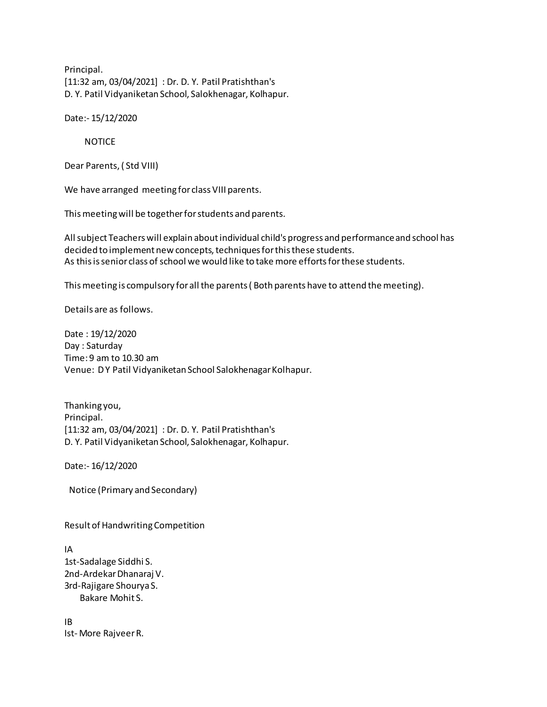Principal. [11:32 am, 03/04/2021] : Dr. D. Y. Patil Pratishthan's D. Y. Patil Vidyaniketan School, Salokhenagar, Kolhapur.

Date:- 15/12/2020

NOTICE

Dear Parents, ( Std VIII)

We have arranged meeting for class VIII parents.

This meeting will be together for students and parents.

All subject Teachers will explain about individual child's progress and performance and school has decided to implement new concepts, techniques for this these students. As this is senior class of school we would like to take more efforts for these students.

This meeting is compulsory for all the parents ( Both parents have to attend the meeting).

Details are as follows.

Date : 19/12/2020 Day : Saturday Time: 9 am to 10.30 am Venue: D Y Patil Vidyaniketan School Salokhenagar Kolhapur.

Thanking you, Principal. [11:32 am, 03/04/2021] : Dr. D. Y. Patil Pratishthan's D. Y. Patil Vidyaniketan School, Salokhenagar, Kolhapur.

Date:- 16/12/2020

Notice (Primary and Secondary)

Result of Handwriting Competition

IA 1st-Sadalage Siddhi S. 2nd-Ardekar Dhanaraj V. 3rd-Rajigare Shourya S. Bakare Mohit S.

IB Ist- More Rajveer R.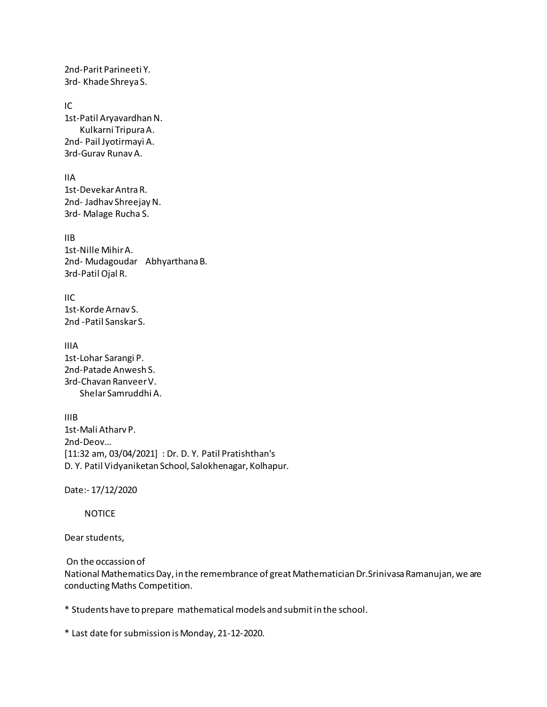2nd-Parit Parineeti Y. 3rd- Khade Shreya S.

IC 1st-Patil Aryavardhan N. Kulkarni Tripura A. 2nd- Pail Jyotirmayi A. 3rd-Gurav Runav A.

IIA 1st-Devekar Antra R. 2nd- Jadhav Shreejay N. 3rd- Malage Rucha S.

IIB 1st-Nille Mihir A. 2nd- Mudagoudar Abhyarthana B. 3rd-Patil Ojal R.

 $\mathsf{I}$ IC 1st-Korde Arnav S. 2nd -Patil Sanskar S.

IIIA 1st-Lohar Sarangi P. 2nd-Patade Anwesh S. 3rd-Chavan Ranveer V. Shelar Samruddhi A.

IIIB 1st-Mali Atharv P. 2nd-Deov… [11:32 am, 03/04/2021] : Dr. D. Y. Patil Pratishthan's D. Y. Patil Vidyaniketan School, Salokhenagar, Kolhapur.

Date:- 17/12/2020

NOTICE

Dear students,

On the occassion of

National Mathematics Day, in the remembrance of great Mathematician Dr.Srinivasa Ramanujan, we are conducting Maths Competition.

\* Students have to prepare mathematical models and submit in the school.

\* Last date for submission is Monday, 21-12-2020.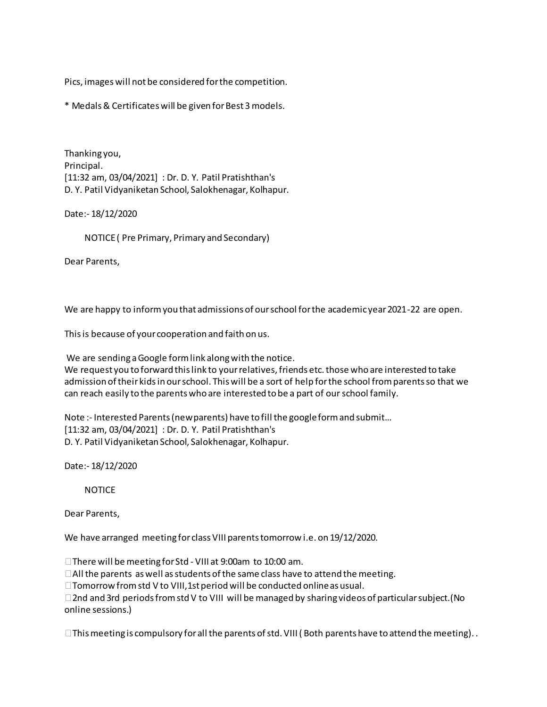Pics, images will not be considered for the competition.

\* Medals & Certificates will be given for Best 3 models.

Thanking you, Principal. [11:32 am, 03/04/2021] : Dr. D. Y. Patil Pratishthan's D. Y. Patil Vidyaniketan School, Salokhenagar, Kolhapur.

Date:- 18/12/2020

NOTICE ( Pre Primary, Primary and Secondary)

Dear Parents,

We are happy to inform you that admissions of our school for the academic year 2021-22 are open.

This is because of your cooperation and faith on us.

We are sending a Google form link along with the notice.

We request you to forward this link to your relatives, friends etc. those who are interested to take admission of their kids in our school. This will be a sort of help for the school from parents so that we can reach easily to the parents who are interested to be a part of our school family.

Note :- Interested Parents (new parents) have to fill the google form and submit… [11:32 am, 03/04/2021] : Dr. D. Y. Patil Pratishthan's D. Y. Patil Vidyaniketan School, Salokhenagar, Kolhapur.

Date:- 18/12/2020

NOTICE

Dear Parents,

We have arranged meeting for class VIII parents tomorrow i.e. on 19/12/2020.

□ There will be meeting for Std - VIII at 9:00am to 10:00 am.

 $\Box$  All the parents as well as students of the same class have to attend the meeting.

 $\Box$  Tomorrow from std V to VIII, 1st period will be conducted online as usual.

 $\Box$  2nd and 3rd periods from std V to VIII will be managed by sharing videos of particular subject. (No online sessions.)

 $\square$  This meeting is compulsory for all the parents of std. VIII (Both parents have to attend the meeting). .